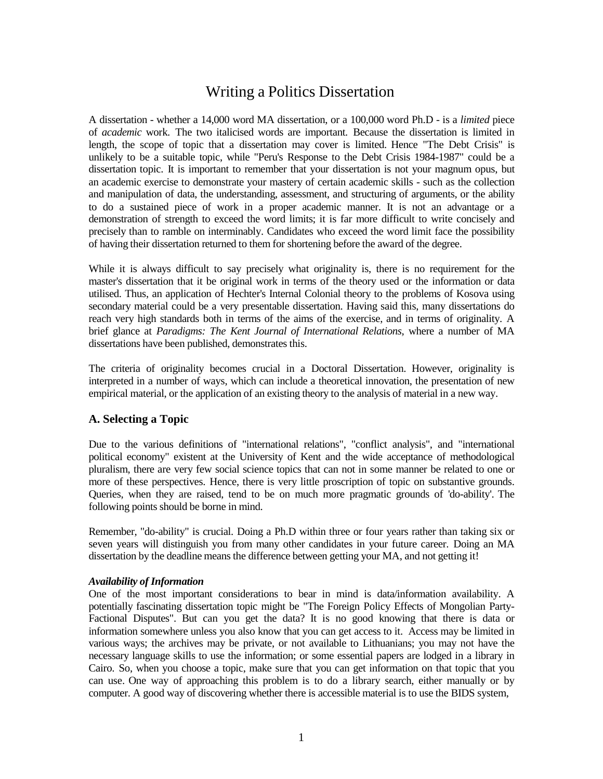## Writing a Politics Dissertation

A dissertation - whether a 14,000 word MA dissertation, or a 100,000 word Ph.D - is a *limited* piece of *academic* work. The two italicised words are important. Because the dissertation is limited in length, the scope of topic that a dissertation may cover is limited. Hence "The Debt Crisis" is unlikely to be a suitable topic, while "Peru's Response to the Debt Crisis 1984-1987" could be a dissertation topic. It is important to remember that your dissertation is not your magnum opus, but an academic exercise to demonstrate your mastery of certain academic skills - such as the collection and manipulation of data, the understanding, assessment, and structuring of arguments, or the ability to do a sustained piece of work in a proper academic manner. It is not an advantage or a demonstration of strength to exceed the word limits; it is far more difficult to write concisely and precisely than to ramble on interminably. Candidates who exceed the word limit face the possibility of having their dissertation returned to them for shortening before the award of the degree.

While it is always difficult to say precisely what originality is, there is no requirement for the master's dissertation that it be original work in terms of the theory used or the information or data utilised. Thus, an application of Hechter's Internal Colonial theory to the problems of Kosova using secondary material could be a very presentable dissertation. Having said this, many dissertations do reach very high standards both in terms of the aims of the exercise, and in terms of originality. A brief glance at *Paradigms: The Kent Journal of International Relations*, where a number of MA dissertations have been published, demonstrates this.

The criteria of originality becomes crucial in a Doctoral Dissertation. However, originality is interpreted in a number of ways, which can include a theoretical innovation, the presentation of new empirical material, or the application of an existing theory to the analysis of material in a new way.

## **A. Selecting a Topic**

Due to the various definitions of "international relations", "conflict analysis", and "international political economy" existent at the University of Kent and the wide acceptance of methodological pluralism, there are very few social science topics that can not in some manner be related to one or more of these perspectives. Hence, there is very little proscription of topic on substantive grounds. Queries, when they are raised, tend to be on much more pragmatic grounds of 'do-ability'. The following points should be borne in mind.

Remember, "do-ability" is crucial. Doing a Ph.D within three or four years rather than taking six or seven years will distinguish you from many other candidates in your future career. Doing an MA dissertation by the deadline means the difference between getting your MA, and not getting it!

#### *Availability of Information*

One of the most important considerations to bear in mind is data/information availability. A potentially fascinating dissertation topic might be "The Foreign Policy Effects of Mongolian Party-Factional Disputes". But can you get the data? It is no good knowing that there is data or information somewhere unless you also know that you can get access to it. Access may be limited in various ways; the archives may be private, or not available to Lithuanians; you may not have the necessary language skills to use the information; or some essential papers are lodged in a library in Cairo. So, when you choose a topic, make sure that you can get information on that topic that you can use. One way of approaching this problem is to do a library search, either manually or by computer. A good way of discovering whether there is accessible material is to use the BIDS system,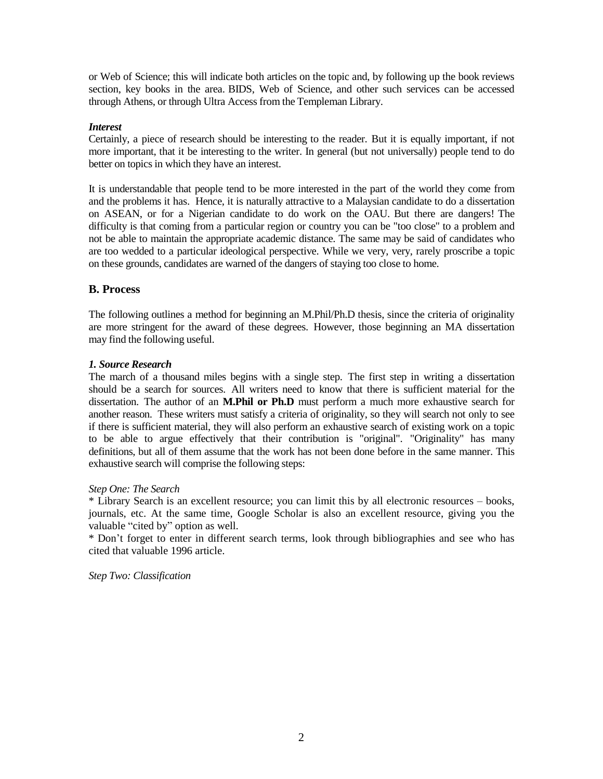or Web of Science; this will indicate both articles on the topic and, by following up the book reviews section, key books in the area. BIDS, Web of Science, and other such services can be accessed through Athens, or through Ultra Access from the Templeman Library.

## *Interest*

Certainly, a piece of research should be interesting to the reader. But it is equally important, if not more important, that it be interesting to the writer. In general (but not universally) people tend to do better on topics in which they have an interest.

It is understandable that people tend to be more interested in the part of the world they come from and the problems it has. Hence, it is naturally attractive to a Malaysian candidate to do a dissertation on ASEAN, or for a Nigerian candidate to do work on the OAU. But there are dangers! The difficulty is that coming from a particular region or country you can be "too close" to a problem and not be able to maintain the appropriate academic distance. The same may be said of candidates who are too wedded to a particular ideological perspective. While we very, very, rarely proscribe a topic on these grounds, candidates are warned of the dangers of staying too close to home.

## **B. Process**

The following outlines a method for beginning an M.Phil/Ph.D thesis, since the criteria of originality are more stringent for the award of these degrees. However, those beginning an MA dissertation may find the following useful.

## *1. Source Research*

The march of a thousand miles begins with a single step. The first step in writing a dissertation should be a search for sources. All writers need to know that there is sufficient material for the dissertation. The author of an **M.Phil or Ph.D** must perform a much more exhaustive search for another reason. These writers must satisfy a criteria of originality, so they will search not only to see if there is sufficient material, they will also perform an exhaustive search of existing work on a topic to be able to argue effectively that their contribution is "original". "Originality" has many definitions, but all of them assume that the work has not been done before in the same manner. This exhaustive search will comprise the following steps:

## *Step One: The Search*

\* Library Search is an excellent resource; you can limit this by all electronic resources – books, journals, etc. At the same time, Google Scholar is also an excellent resource, giving you the valuable "cited by" option as well.

\* Don't forget to enter in different search terms, look through bibliographies and see who has cited that valuable 1996 article.

*Step Two: Classification*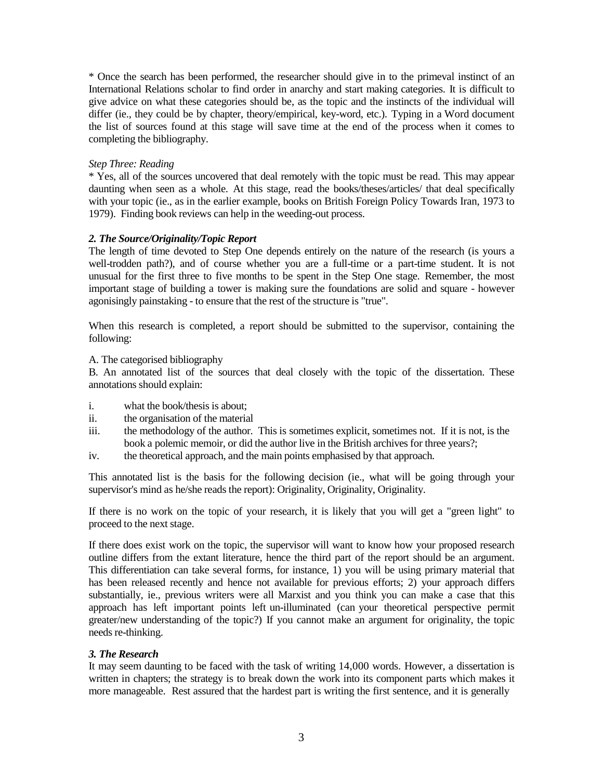\* Once the search has been performed, the researcher should give in to the primeval instinct of an International Relations scholar to find order in anarchy and start making categories. It is difficult to give advice on what these categories should be, as the topic and the instincts of the individual will differ (ie., they could be by chapter, theory/empirical, key-word, etc.). Typing in a Word document the list of sources found at this stage will save time at the end of the process when it comes to completing the bibliography.

## *Step Three: Reading*

\* Yes, all of the sources uncovered that deal remotely with the topic must be read. This may appear daunting when seen as a whole. At this stage, read the books/theses/articles/ that deal specifically with your topic (ie., as in the earlier example, books on British Foreign Policy Towards Iran, 1973 to 1979). Finding book reviews can help in the weeding-out process.

## *2. The Source/Originality/Topic Report*

The length of time devoted to Step One depends entirely on the nature of the research (is yours a well-trodden path?), and of course whether you are a full-time or a part-time student. It is not unusual for the first three to five months to be spent in the Step One stage. Remember, the most important stage of building a tower is making sure the foundations are solid and square - however agonisingly painstaking - to ensure that the rest of the structure is "true".

When this research is completed, a report should be submitted to the supervisor, containing the following:

## A. The categorised bibliography

B. An annotated list of the sources that deal closely with the topic of the dissertation. These annotations should explain:

- i. what the book/thesis is about;
- ii. the organisation of the material
- iii. the methodology of the author. This is sometimes explicit, sometimes not. If it is not, is the book a polemic memoir, or did the author live in the British archives for three years?;
- iv. the theoretical approach, and the main points emphasised by that approach.

This annotated list is the basis for the following decision (ie., what will be going through your supervisor's mind as he/she reads the report): Originality, Originality, Originality.

If there is no work on the topic of your research, it is likely that you will get a "green light" to proceed to the next stage.

If there does exist work on the topic, the supervisor will want to know how your proposed research outline differs from the extant literature, hence the third part of the report should be an argument. This differentiation can take several forms, for instance, 1) you will be using primary material that has been released recently and hence not available for previous efforts; 2) your approach differs substantially, ie., previous writers were all Marxist and you think you can make a case that this approach has left important points left un-illuminated (can your theoretical perspective permit greater/new understanding of the topic?) If you cannot make an argument for originality, the topic needs re-thinking.

## *3. The Research*

It may seem daunting to be faced with the task of writing 14,000 words. However, a dissertation is written in chapters; the strategy is to break down the work into its component parts which makes it more manageable. Rest assured that the hardest part is writing the first sentence, and it is generally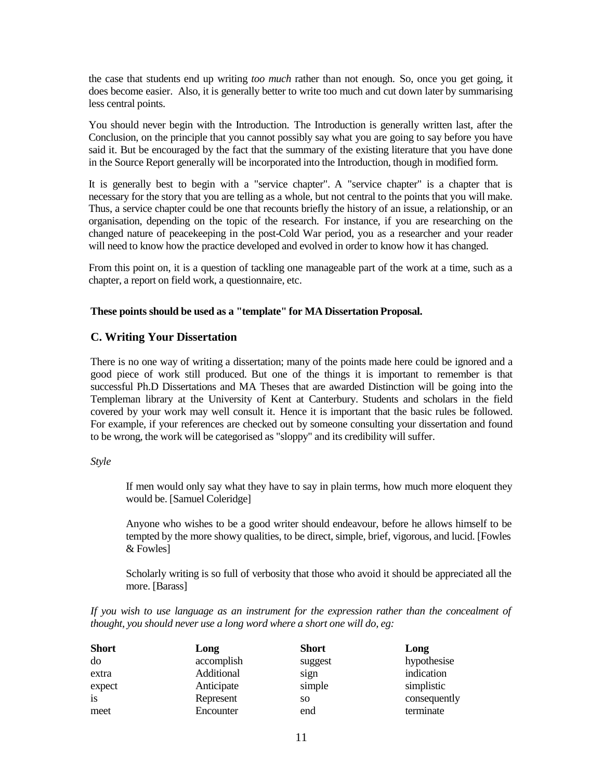the case that students end up writing *too much* rather than not enough. So, once you get going, it does become easier. Also, it is generally better to write too much and cut down later by summarising less central points.

You should never begin with the Introduction. The Introduction is generally written last, after the Conclusion, on the principle that you cannot possibly say what you are going to say before you have said it. But be encouraged by the fact that the summary of the existing literature that you have done in the Source Report generally will be incorporated into the Introduction, though in modified form.

It is generally best to begin with a "service chapter". A "service chapter" is a chapter that is necessary for the story that you are telling as a whole, but not central to the points that you will make. Thus, a service chapter could be one that recounts briefly the history of an issue, a relationship, or an organisation, depending on the topic of the research. For instance, if you are researching on the changed nature of peacekeeping in the post-Cold War period, you as a researcher and your reader will need to know how the practice developed and evolved in order to know how it has changed.

From this point on, it is a question of tackling one manageable part of the work at a time, such as a chapter, a report on field work, a questionnaire, etc.

#### **These points should be used as a "template" for MA Dissertation Proposal.**

#### **C. Writing Your Dissertation**

There is no one way of writing a dissertation; many of the points made here could be ignored and a good piece of work still produced. But one of the things it is important to remember is that successful Ph.D Dissertations and MA Theses that are awarded Distinction will be going into the Templeman library at the University of Kent at Canterbury. Students and scholars in the field covered by your work may well consult it. Hence it is important that the basic rules be followed. For example, if your references are checked out by someone consulting your dissertation and found to be wrong, the work will be categorised as "sloppy" and its credibility will suffer.

#### *Style*

If men would only say what they have to say in plain terms, how much more eloquent they would be. [Samuel Coleridge]

Anyone who wishes to be a good writer should endeavour, before he allows himself to be tempted by the more showy qualities, to be direct, simple, brief, vigorous, and lucid. [Fowles & Fowles]

Scholarly writing is so full of verbosity that those who avoid it should be appreciated all the more. [Barass]

*If you wish to use language as an instrument for the expression rather than the concealment of thought, you should never use a long word where a short one will do, eg:*

| <b>Short</b> | Long       | <b>Short</b> | Long         |
|--------------|------------|--------------|--------------|
| do           | accomplish | suggest      | hypothesise  |
| extra        | Additional | sign         | indication   |
| expect       | Anticipate | simple       | simplistic   |
| is           | Represent  | SO.          | consequently |
| meet         | Encounter  | end          | terminate    |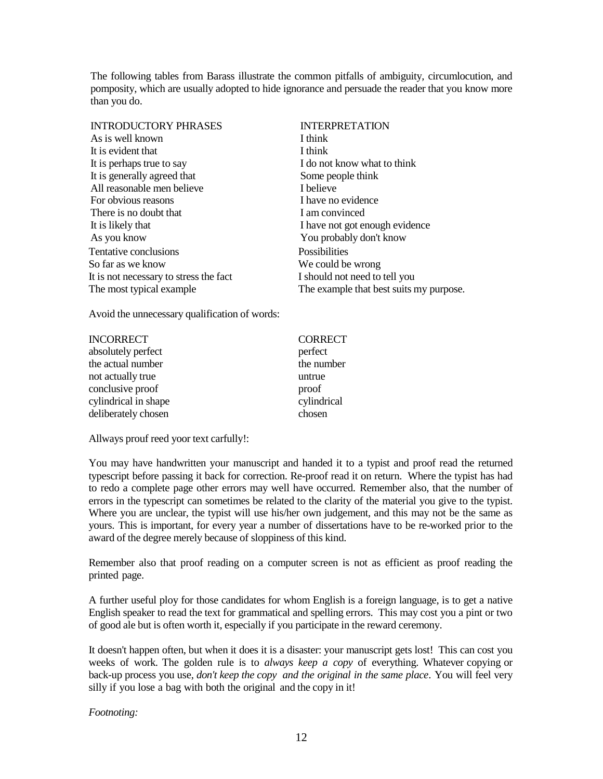The following tables from Barass illustrate the common pitfalls of ambiguity, circumlocution, and pomposity, which are usually adopted to hide ignorance and persuade the reader that you know more than you do.

| <b>INTRODUCTORY PHRASES</b>            | <b>INTERPRETATION</b>                   |
|----------------------------------------|-----------------------------------------|
| As is well known                       | I think                                 |
| It is evident that                     | I think                                 |
| It is perhaps true to say              | I do not know what to think             |
| It is generally agreed that            | Some people think                       |
| All reasonable men believe             | I believe                               |
| For obvious reasons                    | I have no evidence                      |
| There is no doubt that                 | I am convinced                          |
| It is likely that                      | I have not got enough evidence          |
| As you know                            | You probably don't know                 |
| Tentative conclusions                  | Possibilities                           |
| So far as we know                      | We could be wrong                       |
| It is not necessary to stress the fact | I should not need to tell you           |
| The most typical example               | The example that best suits my purpose. |

Avoid the unnecessary qualification of words:

| <b>INCORRECT</b>     | <b>CORRECT</b> |
|----------------------|----------------|
| absolutely perfect   | perfect        |
| the actual number    | the number     |
| not actually true    | untrue         |
| conclusive proof     | proof          |
| cylindrical in shape | cylindrical    |
| deliberately chosen  | chosen         |

Allways prouf reed yoor text carfully!:

You may have handwritten your manuscript and handed it to a typist and proof read the returned typescript before passing it back for correction. Re-proof read it on return. Where the typist has had to redo a complete page other errors may well have occurred. Remember also, that the number of errors in the typescript can sometimes be related to the clarity of the material you give to the typist. Where you are unclear, the typist will use his/her own judgement, and this may not be the same as yours. This is important, for every year a number of dissertations have to be re-worked prior to the award of the degree merely because of sloppiness of this kind.

Remember also that proof reading on a computer screen is not as efficient as proof reading the printed page.

A further useful ploy for those candidates for whom English is a foreign language, is to get a native English speaker to read the text for grammatical and spelling errors. This may cost you a pint or two of good ale but is often worth it, especially if you participate in the reward ceremony.

It doesn't happen often, but when it does it is a disaster: your manuscript gets lost! This can cost you weeks of work. The golden rule is to *always keep a copy* of everything. Whatever copying or back-up process you use, *don't keep the copy and the original in the same place*. You will feel very silly if you lose a bag with both the original and the copy in it!

*Footnoting:*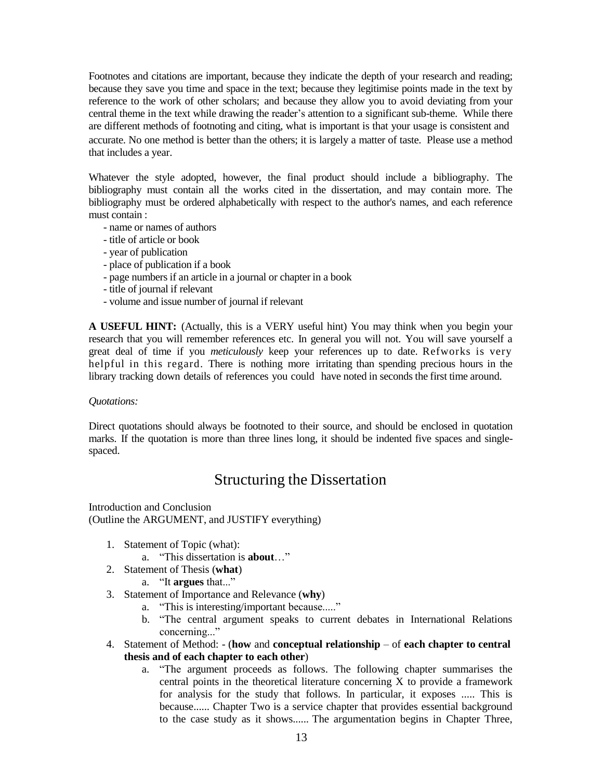Footnotes and citations are important, because they indicate the depth of your research and reading; because they save you time and space in the text; because they legitimise points made in the text by reference to the work of other scholars; and because they allow you to avoid deviating from your central theme in the text while drawing the reader's attention to a significant sub-theme. While there are different methods of footnoting and citing, what is important is that your usage is consistent and accurate. No one method is better than the others; it is largely a matter of taste. Please use a method

that includes a year.

Whatever the style adopted, however, the final product should include a bibliography. The bibliography must contain all the works cited in the dissertation, and may contain more. The bibliography must be ordered alphabetically with respect to the author's names, and each reference must contain :

- name or names of authors
- title of article or book
- year of publication
- place of publication if a book
- page numbers if an article in a journal or chapter in a book
- title of journal if relevant
- volume and issue number of journal if relevant

**A USEFUL HINT:** (Actually, this is a VERY useful hint) You may think when you begin your research that you will remember references etc. In general you will not. You will save yourself a great deal of time if you *meticulously* keep your references up to date. Refworks is very helpful in this regard. There is nothing more irritating than spending precious hours in the library tracking down details of references you could have noted in seconds the first time around.

## *Quotations:*

Direct quotations should always be footnoted to their source, and should be enclosed in quotation marks. If the quotation is more than three lines long, it should be indented five spaces and singlespaced.

## Structuring the Dissertation

Introduction and Conclusion (Outline the ARGUMENT, and JUSTIFY everything)

- 1. Statement of Topic (what):
	- a. "This dissertation is **about**…"
- 2. Statement of Thesis (**what**)
	- a. "It **argues** that..."
- 3. Statement of Importance and Relevance (**why**)
	- a. "This is interesting/important because....."
	- b. "The central argument speaks to current debates in International Relations concerning..."
- 4. Statement of Method: (**how** and **conceptual relationship** of **each chapter to central thesis and of each chapter to each other**)
	- a. "The argument proceeds as follows. The following chapter summarises the central points in the theoretical literature concerning X to provide a framework for analysis for the study that follows. In particular, it exposes ..... This is because...... Chapter Two is a service chapter that provides essential background to the case study as it shows...... The argumentation begins in Chapter Three,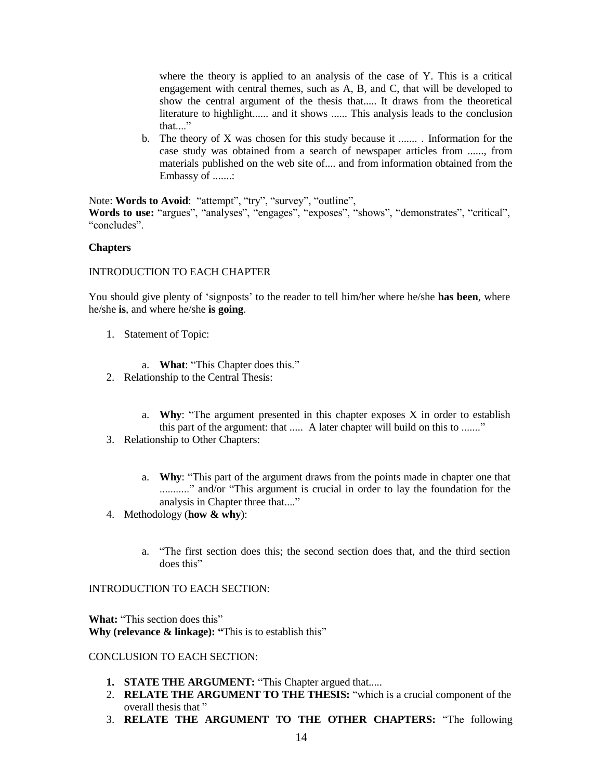where the theory is applied to an analysis of the case of Y. This is a critical engagement with central themes, such as A, B, and C, that will be developed to show the central argument of the thesis that..... It draws from the theoretical literature to highlight...... and it shows ...... This analysis leads to the conclusion that...."

b. The theory of X was chosen for this study because it ....... . Information for the case study was obtained from a search of newspaper articles from ......, from materials published on the web site of.... and from information obtained from the Embassy of .......:

Note: **Words to Avoid**: "attempt", "try", "survey", "outline", **Words to use:** "argues", "analyses", "engages", "exposes", "shows", "demonstrates", "critical", "concludes".

#### **Chapters**

#### INTRODUCTION TO EACH CHAPTER

You should give plenty of 'signposts' to the reader to tell him/her where he/she **has been**, where he/she **is**, and where he/she **is going**.

- 1. Statement of Topic:
	- a. **What**: "This Chapter does this."
- 2. Relationship to the Central Thesis:
	- a. **Why**: "The argument presented in this chapter exposes X in order to establish this part of the argument: that ..... A later chapter will build on this to ......."
- 3. Relationship to Other Chapters:
	- a. **Why**: "This part of the argument draws from the points made in chapter one that ............" and/or "This argument is crucial in order to lay the foundation for the analysis in Chapter three that...."
- 4. Methodology (**how & why**):
	- a. "The first section does this; the second section does that, and the third section does this"

#### INTRODUCTION TO EACH SECTION:

**What:** "This section does this" **Why (relevance & linkage): "**This is to establish this"

#### CONCLUSION TO EACH SECTION:

- **1. STATE THE ARGUMENT:** "This Chapter argued that.....
- 2. **RELATE THE ARGUMENT TO THE THESIS:** "which is a crucial component of the overall thesis that "
- 3. **RELATE THE ARGUMENT TO THE OTHER CHAPTERS:** "The following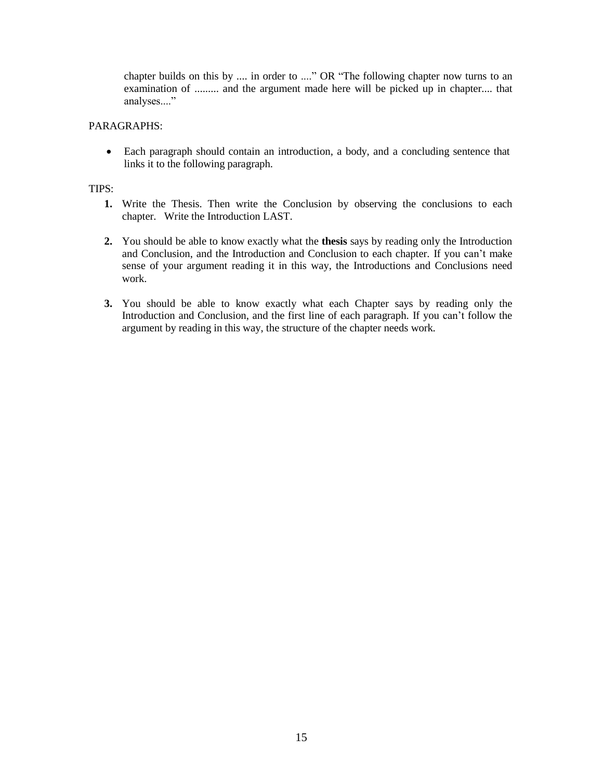chapter builds on this by .... in order to ...." OR "The following chapter now turns to an examination of ......... and the argument made here will be picked up in chapter.... that analyses...."

## PARAGRAPHS:

 Each paragraph should contain an introduction, a body, and a concluding sentence that links it to the following paragraph.

## TIPS:

- **1.** Write the Thesis. Then write the Conclusion by observing the conclusions to each chapter. Write the Introduction LAST.
- **2.** You should be able to know exactly what the **thesis** says by reading only the Introduction and Conclusion, and the Introduction and Conclusion to each chapter. If you can't make sense of your argument reading it in this way, the Introductions and Conclusions need work.
- **3.** You should be able to know exactly what each Chapter says by reading only the Introduction and Conclusion, and the first line of each paragraph. If you can't follow the argument by reading in this way, the structure of the chapter needs work.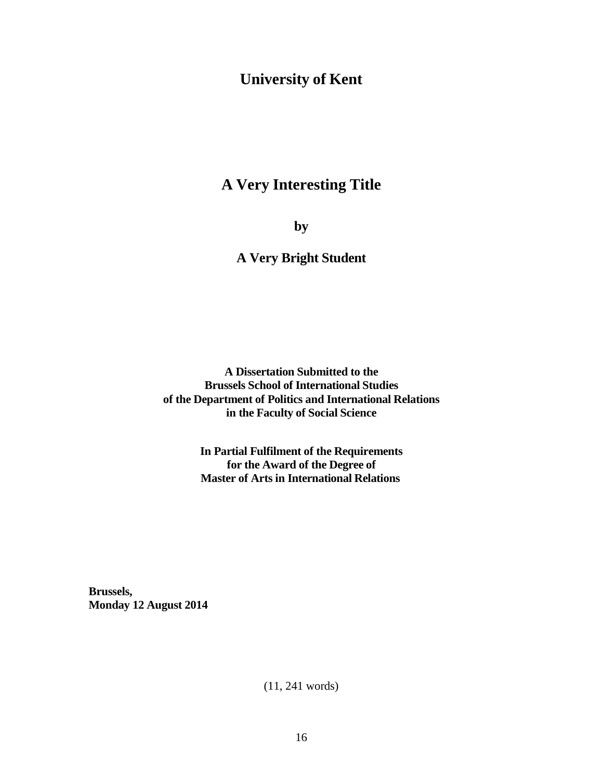# **University of Kent**

# **A Very Interesting Title**

**by**

## **A Very Bright Student**

**A Dissertation Submitted to the Brussels School of International Studies of the Department of Politics and International Relations in the Faculty of Social Science**

> **In Partial Fulfilment of the Requirements for the Award of the Degree of Master of Arts in International Relations**

**Brussels, Monday 12 August 2014**

(11, 241 words)